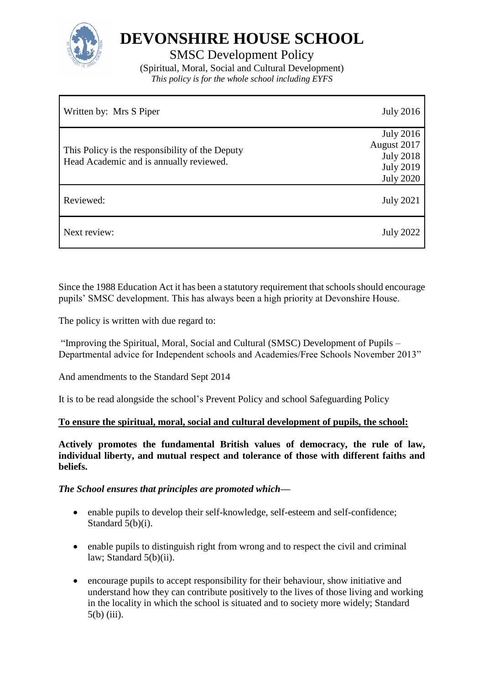

**DEVONSHIRE HOUSE SCHOOL**

SMSC Development Policy

(Spiritual, Moral, Social and Cultural Development) *This policy is for the whole school including EYFS*

| Written by: Mrs S Piper                                                                    | <b>July 2016</b>                                                                            |
|--------------------------------------------------------------------------------------------|---------------------------------------------------------------------------------------------|
| This Policy is the responsibility of the Deputy<br>Head Academic and is annually reviewed. | <b>July 2016</b><br>August 2017<br><b>July 2018</b><br><b>July 2019</b><br><b>July 2020</b> |
| Reviewed:                                                                                  | <b>July 2021</b>                                                                            |
| Next review:                                                                               | <b>July 2022</b>                                                                            |

Since the 1988 Education Act it has been a statutory requirement that schools should encourage pupils' SMSC development. This has always been a high priority at Devonshire House.

The policy is written with due regard to:

"Improving the Spiritual, Moral, Social and Cultural (SMSC) Development of Pupils – Departmental advice for Independent schools and Academies/Free Schools November 2013"

And amendments to the Standard Sept 2014

It is to be read alongside the school's Prevent Policy and school Safeguarding Policy

## **To ensure the spiritual, moral, social and cultural development of pupils, the school:**

**Actively promotes the fundamental British values of democracy, the rule of law, individual liberty, and mutual respect and tolerance of those with different faiths and beliefs.** 

## *The School ensures that principles are promoted which—*

- enable pupils to develop their self-knowledge, self-esteem and self-confidence; Standard 5(b)(i).
- enable pupils to distinguish right from wrong and to respect the civil and criminal law; Standard 5(b)(ii).
- encourage pupils to accept responsibility for their behaviour, show initiative and understand how they can contribute positively to the lives of those living and working in the locality in which the school is situated and to society more widely; Standard 5(b) (iii).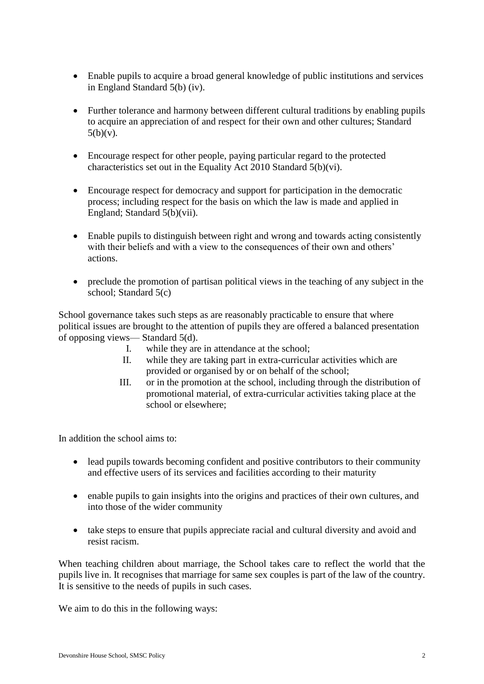- Enable pupils to acquire a broad general knowledge of public institutions and services in England Standard 5(b) (iv).
- Further tolerance and harmony between different cultural traditions by enabling pupils to acquire an appreciation of and respect for their own and other cultures; Standard  $5(b)(v)$ .
- Encourage respect for other people, paying particular regard to the protected characteristics set out in the Equality Act 2010 Standard 5(b)(vi).
- Encourage respect for democracy and support for participation in the democratic process; including respect for the basis on which the law is made and applied in England; Standard 5(b)(vii).
- Enable pupils to distinguish between right and wrong and towards acting consistently with their beliefs and with a view to the consequences of their own and others' actions.
- preclude the promotion of partisan political views in the teaching of any subject in the school; Standard 5(c)

School governance takes such steps as are reasonably practicable to ensure that where political issues are brought to the attention of pupils they are offered a balanced presentation of opposing views— Standard 5(d).

- I. while they are in attendance at the school;
- II. while they are taking part in extra-curricular activities which are provided or organised by or on behalf of the school;
- III. or in the promotion at the school, including through the distribution of promotional material, of extra-curricular activities taking place at the school or elsewhere;

In addition the school aims to:

- lead pupils towards becoming confident and positive contributors to their community and effective users of its services and facilities according to their maturity
- enable pupils to gain insights into the origins and practices of their own cultures, and into those of the wider community
- take steps to ensure that pupils appreciate racial and cultural diversity and avoid and resist racism.

When teaching children about marriage, the School takes care to reflect the world that the pupils live in. It recognises that marriage for same sex couples is part of the law of the country. It is sensitive to the needs of pupils in such cases.

We aim to do this in the following ways: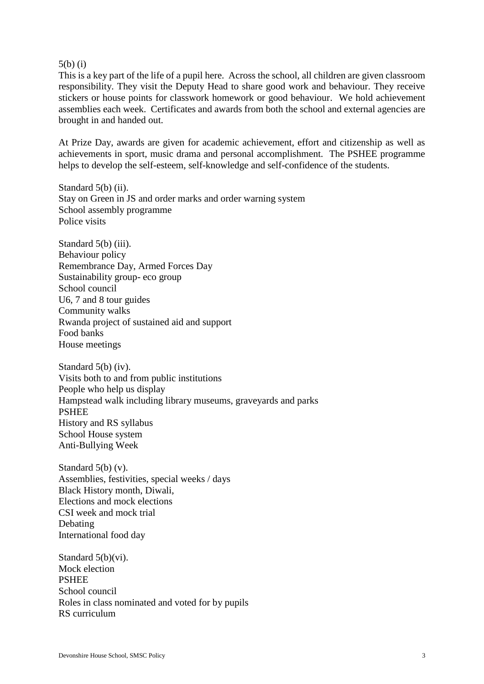#### 5(b) (i)

This is a key part of the life of a pupil here. Across the school, all children are given classroom responsibility. They visit the Deputy Head to share good work and behaviour. They receive stickers or house points for classwork homework or good behaviour. We hold achievement assemblies each week. Certificates and awards from both the school and external agencies are brought in and handed out.

At Prize Day, awards are given for academic achievement, effort and citizenship as well as achievements in sport, music drama and personal accomplishment. The PSHEE programme helps to develop the self-esteem, self-knowledge and self-confidence of the students.

Standard 5(b) (ii). Stay on Green in JS and order marks and order warning system School assembly programme Police visits

Standard 5(b) (iii). Behaviour policy Remembrance Day, Armed Forces Day Sustainability group- eco group School council U6, 7 and 8 tour guides Community walks Rwanda project of sustained aid and support Food banks House meetings

Standard 5(b) (iv). Visits both to and from public institutions People who help us display Hampstead walk including library museums, graveyards and parks PSHEE History and RS syllabus School House system Anti-Bullying Week

Standard 5(b) (v). Assemblies, festivities, special weeks / days Black History month, Diwali, Elections and mock elections CSI week and mock trial Debating International food day

Standard 5(b)(vi). Mock election PSHEE School council Roles in class nominated and voted for by pupils RS curriculum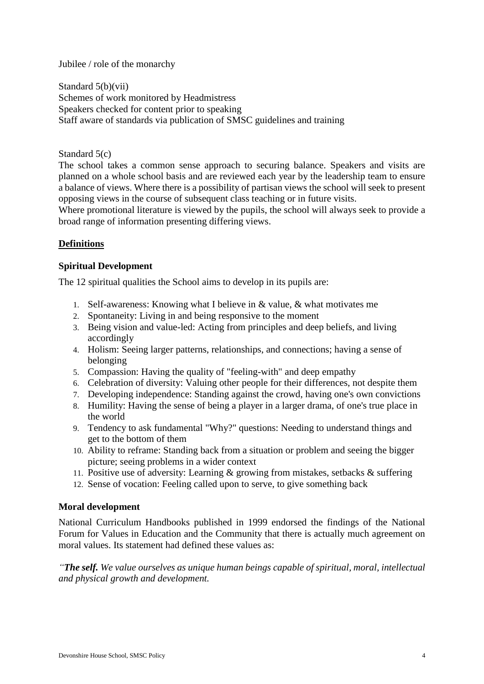Jubilee / role of the monarchy

Standard 5(b)(vii) Schemes of work monitored by Headmistress Speakers checked for content prior to speaking Staff aware of standards via publication of SMSC guidelines and training

Standard 5(c)

The school takes a common sense approach to securing balance. Speakers and visits are planned on a whole school basis and are reviewed each year by the leadership team to ensure a balance of views. Where there is a possibility of partisan views the school will seek to present opposing views in the course of subsequent class teaching or in future visits.

Where promotional literature is viewed by the pupils, the school will always seek to provide a broad range of information presenting differing views.

# **Definitions**

## **Spiritual Development**

The 12 spiritual qualities the School aims to develop in its pupils are:

- 1. Self-awareness: Knowing what I believe in & value, & what motivates me
- 2. Spontaneity: Living in and being responsive to the moment
- 3. Being vision and value-led: Acting from principles and deep beliefs, and living accordingly
- 4. Holism: Seeing larger patterns, relationships, and connections; having a sense of belonging
- 5. Compassion: Having the quality of "feeling-with" and deep empathy
- 6. Celebration of diversity: Valuing other people for their differences, not despite them
- 7. Developing independence: Standing against the crowd, having one's own convictions
- 8. Humility: Having the sense of being a player in a larger drama, of one's true place in the world
- 9. Tendency to ask fundamental "Why?" questions: Needing to understand things and get to the bottom of them
- 10. Ability to reframe: Standing back from a situation or problem and seeing the bigger picture; seeing problems in a wider context
- 11. Positive use of adversity: Learning & growing from mistakes, setbacks & suffering
- 12. Sense of vocation: Feeling called upon to serve, to give something back

## **Moral development**

National Curriculum Handbooks published in 1999 endorsed the findings of the National Forum for Values in Education and the Community that there is actually much agreement on moral values. Its statement had defined these values as:

*"The self. We value ourselves as unique human beings capable of spiritual, moral, intellectual and physical growth and development.*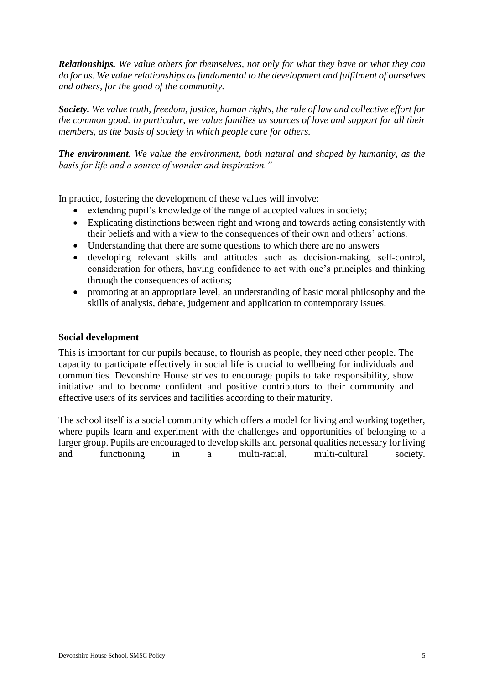*Relationships. We value others for themselves, not only for what they have or what they can do for us. We value relationships as fundamental to the development and fulfilment of ourselves and others, for the good of the community.*

*Society. We value truth, freedom, justice, human rights, the rule of law and collective effort for the common good. In particular, we value families as sources of love and support for all their members, as the basis of society in which people care for others.*

*The environment. We value the environment, both natural and shaped by humanity, as the basis for life and a source of wonder and inspiration."*

In practice, fostering the development of these values will involve:

- extending pupil's knowledge of the range of accepted values in society;
- Explicating distinctions between right and wrong and towards acting consistently with their beliefs and with a view to the consequences of their own and others' actions.
- Understanding that there are some questions to which there are no answers
- developing relevant skills and attitudes such as decision-making, self-control, consideration for others, having confidence to act with one's principles and thinking through the consequences of actions;
- promoting at an appropriate level, an understanding of basic moral philosophy and the skills of analysis, debate, judgement and application to contemporary issues.

#### **Social development**

This is important for our pupils because, to flourish as people, they need other people. The capacity to participate effectively in social life is crucial to wellbeing for individuals and communities. Devonshire House strives to encourage pupils to take responsibility, show initiative and to become confident and positive contributors to their community and effective users of its services and facilities according to their maturity.

The school itself is a social community which offers a model for living and working together, where pupils learn and experiment with the challenges and opportunities of belonging to a larger group. Pupils are encouraged to develop skills and personal qualities necessary for living and functioning in a multi-racial, multi-cultural society.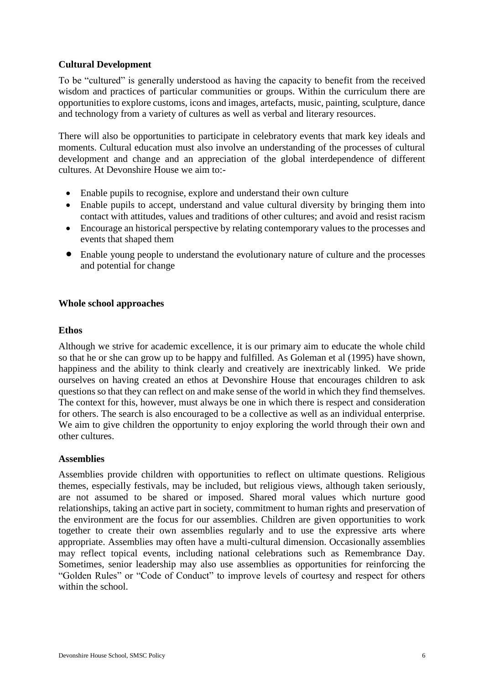### **Cultural Development**

To be "cultured" is generally understood as having the capacity to benefit from the received wisdom and practices of particular communities or groups. Within the curriculum there are opportunities to explore customs, icons and images, artefacts, music, painting, sculpture, dance and technology from a variety of cultures as well as verbal and literary resources.

There will also be opportunities to participate in celebratory events that mark key ideals and moments. Cultural education must also involve an understanding of the processes of cultural development and change and an appreciation of the global interdependence of different cultures. At Devonshire House we aim to:-

- Enable pupils to recognise, explore and understand their own culture
- Enable pupils to accept, understand and value cultural diversity by bringing them into contact with attitudes, values and traditions of other cultures; and avoid and resist racism
- Encourage an historical perspective by relating contemporary values to the processes and events that shaped them
- Enable young people to understand the evolutionary nature of culture and the processes and potential for change

### **Whole school approaches**

### **Ethos**

Although we strive for academic excellence, it is our primary aim to educate the whole child so that he or she can grow up to be happy and fulfilled. As Goleman et al (1995) have shown, happiness and the ability to think clearly and creatively are inextricably linked. We pride ourselves on having created an ethos at Devonshire House that encourages children to ask questions so that they can reflect on and make sense of the world in which they find themselves. The context for this, however, must always be one in which there is respect and consideration for others. The search is also encouraged to be a collective as well as an individual enterprise. We aim to give children the opportunity to enjoy exploring the world through their own and other cultures.

### **Assemblies**

Assemblies provide children with opportunities to reflect on ultimate questions. Religious themes, especially festivals, may be included, but religious views, although taken seriously, are not assumed to be shared or imposed. Shared moral values which nurture good relationships, taking an active part in society, commitment to human rights and preservation of the environment are the focus for our assemblies. Children are given opportunities to work together to create their own assemblies regularly and to use the expressive arts where appropriate. Assemblies may often have a multi-cultural dimension. Occasionally assemblies may reflect topical events, including national celebrations such as Remembrance Day. Sometimes, senior leadership may also use assemblies as opportunities for reinforcing the "Golden Rules" or "Code of Conduct" to improve levels of courtesy and respect for others within the school.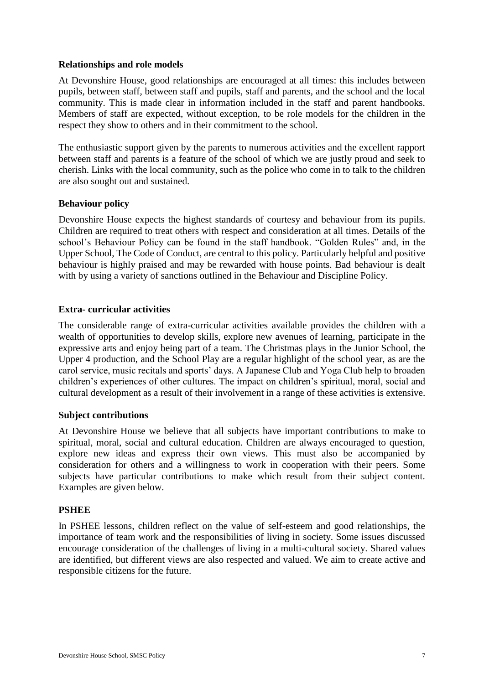### **Relationships and role models**

At Devonshire House, good relationships are encouraged at all times: this includes between pupils, between staff, between staff and pupils, staff and parents, and the school and the local community. This is made clear in information included in the staff and parent handbooks. Members of staff are expected, without exception, to be role models for the children in the respect they show to others and in their commitment to the school.

The enthusiastic support given by the parents to numerous activities and the excellent rapport between staff and parents is a feature of the school of which we are justly proud and seek to cherish. Links with the local community, such as the police who come in to talk to the children are also sought out and sustained.

### **Behaviour policy**

Devonshire House expects the highest standards of courtesy and behaviour from its pupils. Children are required to treat others with respect and consideration at all times. Details of the school's Behaviour Policy can be found in the staff handbook. "Golden Rules" and, in the Upper School, The Code of Conduct, are central to this policy. Particularly helpful and positive behaviour is highly praised and may be rewarded with house points. Bad behaviour is dealt with by using a variety of sanctions outlined in the Behaviour and Discipline Policy.

### **Extra- curricular activities**

The considerable range of extra-curricular activities available provides the children with a wealth of opportunities to develop skills, explore new avenues of learning, participate in the expressive arts and enjoy being part of a team. The Christmas plays in the Junior School, the Upper 4 production, and the School Play are a regular highlight of the school year, as are the carol service, music recitals and sports' days. A Japanese Club and Yoga Club help to broaden children's experiences of other cultures. The impact on children's spiritual, moral, social and cultural development as a result of their involvement in a range of these activities is extensive.

### **Subject contributions**

At Devonshire House we believe that all subjects have important contributions to make to spiritual, moral, social and cultural education. Children are always encouraged to question, explore new ideas and express their own views. This must also be accompanied by consideration for others and a willingness to work in cooperation with their peers. Some subjects have particular contributions to make which result from their subject content. Examples are given below.

### **PSHEE**

In PSHEE lessons, children reflect on the value of self-esteem and good relationships, the importance of team work and the responsibilities of living in society. Some issues discussed encourage consideration of the challenges of living in a multi-cultural society. Shared values are identified, but different views are also respected and valued. We aim to create active and responsible citizens for the future.